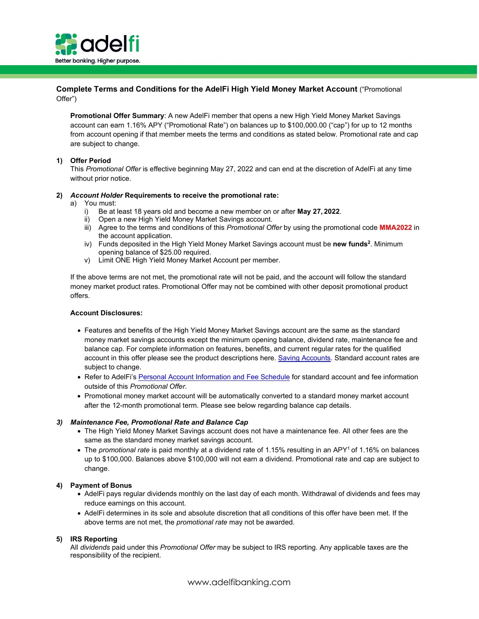

# **Complete Terms and Conditions for the AdelFi High Yield Money Market Account** ("Promotional Offer")

**Promotional Offer Summary**: A new AdelFi member that opens a new High Yield Money Market Savings account can earn 1.16% APY ("Promotional Rate") on balances up to \$100,000.00 ("cap") for up to 12 months from account opening if that member meets the terms and conditions as stated below. Promotional rate and cap are subject to change.

## **1) Offer Period**

This *Promotional Offer* is effective beginning May 27, 2022 and can end at the discretion of AdelFi at any time without prior notice.

### **2)** *Account Holder* **Requirements to receive the promotional rate:**

a) You must:

- i) Be at least 18 years old and become a new member on or after **May 27, 2022**.
- ii) Open a new High Yield Money Market Savings account.
- iii) Agree to the terms and conditions of this *Promotional Offer* by using the promotional code **MMA2022** in the account application.
- iv) Funds deposited in the High Yield Money Market Savings account must be **new funds2**. Minimum opening balance of \$25.00 required.
- v) Limit ONE High Yield Money Market Account per member.

If the above terms are not met, the promotional rate will not be paid, and the account will follow the standard money market product rates. Promotional Offer may not be combined with other deposit promotional product offers.

### **Account Disclosures:**

- Features and benefits of the High Yield Money Market Savings account are the same as the standard money market savings accounts except the minimum opening balance, dividend rate, maintenance fee and balance cap. For complete information on features, benefits, and current regular rates for the qualified account in this offer please see the product descriptions here. [Saving Accounts. S](https://www.eccu.org/personalbanking/savings)tandard account rates are subject to change.
- Refer to AdelFi's [Personal Account Information and Fee Schedule](https://www.eccu.org/documents/Personal_Account_Information_and_Fee_Schedule.pdf) for standard account and fee information outside of this *Promotional Offer*.
- Promotional money market account will be automatically converted to a standard money market account after the 12-month promotional term. Please see below regarding balance cap details.

### *3) Maintenance Fee, Promotional Rate and Balance Cap*

- The High Yield Money Market Savings account does not have a maintenance fee. All other fees are the same as the standard money market savings account.
- The *promotional rate* is paid monthly at a dividend rate of 1.15% resulting in an APY<sup>1</sup> of 1.16% on balances up to \$100,000. Balances above \$100,000 will not earn a dividend. Promotional rate and cap are subject to change.

### **4) Payment of Bonus**

- AdelFi pays regular dividends monthly on the last day of each month. Withdrawal of dividends and fees may reduce earnings on this account.
- AdelFi determines in its sole and absolute discretion that all conditions of this offer have been met. If the above terms are not met, the *promotional rate* may not be awarded.

### **5) IRS Reporting**

All *dividends* paid under this *Promotional Offer* may be subject to IRS reporting. Any applicable taxes are the responsibility of the recipient.